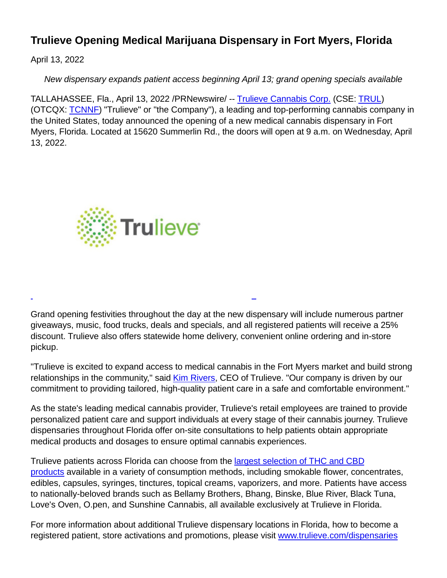## **Trulieve Opening Medical Marijuana Dispensary in Fort Myers, Florida**

April 13, 2022

New dispensary expands patient access beginning April 13; grand opening specials available

TALLAHASSEE, Fla., April 13, 2022 /PRNewswire/ -- [Trulieve Cannabis Corp.](https://c212.net/c/link/?t=0&l=en&o=3503614-1&h=2089401071&u=https%3A%2F%2Fwww.trulieve.com%2F&a=Trulieve+Cannabis+Corp.) (CSE: [TRUL\)](https://c212.net/c/link/?t=0&l=en&o=3503614-1&h=3416353950&u=https%3A%2F%2Fc212.net%2Fc%2Flink%2F%3Ft%3D0%26l%3Den%26o%3D3462701-1%26h%3D666874696%26u%3Dhttps%253A%252F%252Fthecse.com%252Fen%252Flistings%252Flife-sciences%252Ftrulieve-cannabis-corp-subordinate-voting-shares%26a%3DTRUL&a=TRUL) (OTCQX: [TCNNF\)](https://c212.net/c/link/?t=0&l=en&o=3503614-1&h=1315810308&u=https%3A%2F%2Fc212.net%2Fc%2Flink%2F%3Ft%3D0%26l%3Den%26o%3D3462701-1%26h%3D4184361125%26u%3Dhttps%253A%252F%252Fwww.otcmarkets.com%252Fstock%252FTCNNF%252Foverview%26a%3DTCNNF&a=TCNNF) "Trulieve" or "the Company"), a leading and top-performing cannabis company in the United States, today announced the opening of a new medical cannabis dispensary in Fort Myers, Florida. Located at 15620 Summerlin Rd., the doors will open at 9 a.m. on Wednesday, April 13, 2022.



Grand opening festivities throughout the day at the new dispensary will include numerous partner giveaways, music, food trucks, deals and specials, and all registered patients will receive a 25% discount. Trulieve also offers statewide home delivery, convenient online ordering and in-store pickup.

 $\overline{a}$ 

"Trulieve is excited to expand access to medical cannabis in the Fort Myers market and build strong relationships in the community," said [Kim Rivers,](https://c212.net/c/link/?t=0&l=en&o=3503614-1&h=980486840&u=https%3A%2F%2Finvestors.trulieve.com%2Fcorporate-governance%2Fexecutive-team&a=Kim+Rivers) CEO of Trulieve. "Our company is driven by our commitment to providing tailored, high-quality patient care in a safe and comfortable environment."

As the state's leading medical cannabis provider, Trulieve's retail employees are trained to provide personalized patient care and support individuals at every stage of their cannabis journey. Trulieve dispensaries throughout Florida offer on-site consultations to help patients obtain appropriate medical products and dosages to ensure optimal cannabis experiences.

Trulieve patients across Florida can choose from the **largest selection of THC and CBD** products available in a variety of consumption methods, including smokable flower, concentrates, edibles, capsules, syringes, tinctures, topical creams, vaporizers, and more. Patients have access to nationally-beloved brands such as Bellamy Brothers, Bhang, Binske, Blue River, Black Tuna, Love's Oven, O.pen, and Sunshine Cannabis, all available exclusively at Trulieve in Florida.

For more information about additional Trulieve dispensary locations in Florida, how to become a registered patient, store activations and promotions, please visit [www.trulieve.com/dispensaries](https://c212.net/c/link/?t=0&l=en&o=3503614-1&h=1403890206&u=http%3A%2F%2Fwww.trulieve.com%2Fdispensaries%2Fflorida&a=www.trulieve.com%2Fdispensaries%2Fflorida)